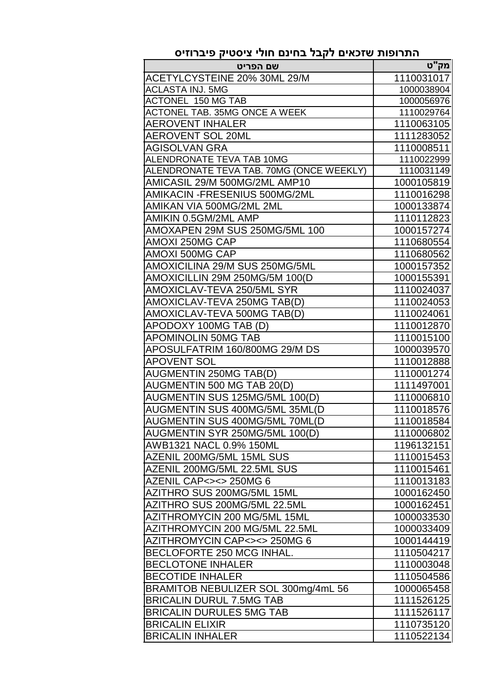| שם הפריט                                 | מק"ט       |
|------------------------------------------|------------|
| ACETYLCYSTEINE 20% 30ML 29/M             | 1110031017 |
| <b>ACLASTA INJ, 5MG</b>                  | 1000038904 |
| <b>ACTONEL 150 MG TAB</b>                | 1000056976 |
| <b>ACTONEL TAB. 35MG ONCE A WEEK</b>     | 1110029764 |
| <b>AEROVENT INHALER</b>                  | 1110063105 |
| <b>AEROVENT SOL 20ML</b>                 | 1111283052 |
| <b>AGISOLVAN GRA</b>                     | 1110008511 |
| ALENDRONATE TEVA TAB 10MG                | 1110022999 |
| ALENDRONATE TEVA TAB. 70MG (ONCE WEEKLY) | 1110031149 |
| AMICASIL 29/M 500MG/2ML AMP10            | 1000105819 |
| AMIKACIN - FRESENIUS 500MG/2ML           | 1110016298 |
| AMIKAN VIA 500MG/2ML 2ML                 | 1000133874 |
| AMIKIN 0.5GM/2ML AMP                     | 1110112823 |
| AMOXAPEN 29M SUS 250MG/5ML 100           | 1000157274 |
| <b>AMOXI 250MG CAP</b>                   | 1110680554 |
| <b>AMOXI 500MG CAP</b>                   | 1110680562 |
| AMOXICILINA 29/M SUS 250MG/5ML           | 1000157352 |
| AMOXICILLIN 29M 250MG/5M 100(D           | 1000155391 |
| AMOXICLAV-TEVA 250/5ML SYR               | 1110024037 |
| AMOXICLAV-TEVA 250MG TAB(D)              | 1110024053 |
| AMOXICLAV-TEVA 500MG TAB(D)              | 1110024061 |
| APODOXY 100MG TAB (D)                    | 1110012870 |
| <b>APOMINOLIN 50MG TAB</b>               | 1110015100 |
| APOSULFATRIM 160/800MG 29/M DS           | 1000039570 |
| <b>APOVENT SOL</b>                       | 1110012888 |
| <b>AUGMENTIN 250MG TAB(D)</b>            | 1110001274 |
| AUGMENTIN 500 MG TAB 20(D)               | 1111497001 |
| AUGMENTIN SUS 125MG/5ML 100(D)           | 1110006810 |
| AUGMENTIN SUS 400MG/5ML 35ML(D           | 1110018576 |
| AUGMENTIN SUS 400MG/5ML 70ML(D           | 1110018584 |
| AUGMENTIN SYR 250MG/5ML 100(D)           | 1110006802 |
| AWB1321 NACL 0.9% 150ML                  | 1196132151 |
| AZENIL 200MG/5ML 15ML SUS                | 1110015453 |
| AZENIL 200MG/5ML 22.5ML SUS              | 1110015461 |
| AZENIL CAP<><> 250MG 6                   | 1110013183 |
| AZITHRO SUS 200MG/5ML 15ML               | 1000162450 |
| AZITHRO SUS 200MG/5ML 22.5ML             | 1000162451 |
| AZITHROMYCIN 200 MG/5ML 15ML             | 1000033530 |
| AZITHROMYCIN 200 MG/5ML 22.5ML           | 1000033409 |
| AZITHROMYCIN CAP<><> 250MG 6             | 1000144419 |
| <b>BECLOFORTE 250 MCG INHAL.</b>         | 1110504217 |
| <b>BECLOTONE INHALER</b>                 | 1110003048 |
| <b>BECOTIDE INHALER</b>                  | 1110504586 |
| BRAMITOB NEBULIZER SOL 300mg/4mL 56      | 1000065458 |
| <b>BRICALIN DURUL 7.5MG TAB</b>          | 1111526125 |
| <b>BRICALIN DURULES 5MG TAB</b>          | 1111526117 |
| <b>BRICALIN ELIXIR</b>                   | 1110735120 |
| <b>BRICALIN INHALER</b>                  | 1110522134 |

## **התרופות שזכאים לקבל בחינם חולי ציסטיק פיברוזיס**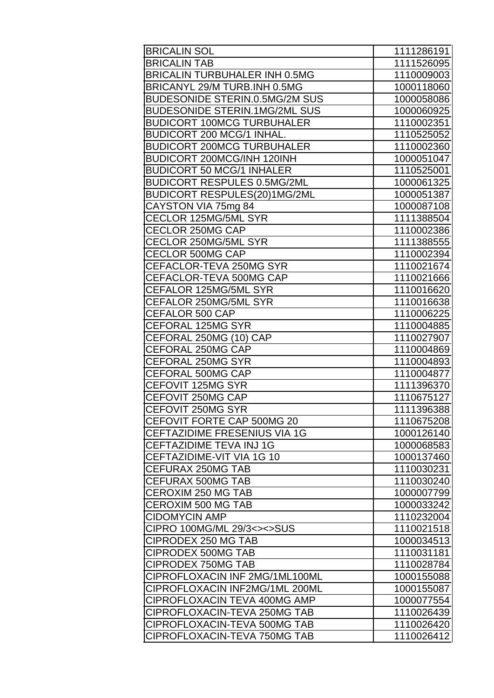| <b>BRICALIN SOL</b>                   | 1111286191 |
|---------------------------------------|------------|
| <b>BRICALIN TAB</b>                   | 1111526095 |
| <b>BRICALIN TURBUHALER INH 0.5MG</b>  | 1110009003 |
| BRICANYL 29/M TURB.INH 0.5MG          | 1000118060 |
| <b>BUDESONIDE STERIN.0.5MG/2M SUS</b> | 1000058086 |
| <b>BUDESONIDE STERIN.1MG/2ML SUS</b>  | 1000060925 |
| <b>BUDICORT 100MCG TURBUHALER</b>     | 1110002351 |
| <b>BUDICORT 200 MCG/1 INHAL.</b>      | 1110525052 |
| <b>BUDICORT 200MCG TURBUHALER</b>     | 1110002360 |
| <b>BUDICORT 200MCG/INH 120INH</b>     | 1000051047 |
| <b>BUDICORT 50 MCG/1 INHALER</b>      | 1110525001 |
| <b>BUDICORT RESPULES 0.5MG/2ML</b>    | 1000061325 |
| BUDICORT RESPULES(20)1MG/2ML          | 1000051387 |
| CAYSTON VIA 75mg 84                   | 1000087108 |
| CECLOR 125MG/5ML SYR                  | 1111388504 |
| CECLOR 250MG CAP                      | 1110002386 |
| CECLOR 250MG/5ML SYR                  | 1111388555 |
| <b>CECLOR 500MG CAP</b>               | 1110002394 |
| CEFACLOR-TEVA 250MG SYR               | 1110021674 |
| CEFACLOR-TEVA 500MG CAP               | 1110021666 |
| CEFALOR 125MG/5ML SYR                 | 1110016620 |
| CEFALOR 250MG/5ML SYR                 | 1110016638 |
| <b>CEFALOR 500 CAP</b>                | 1110006225 |
| CEFORAL 125MG SYR                     | 1110004885 |
| CEFORAL 250MG (10) CAP                | 1110027907 |
| CEFORAL 250MG CAP                     | 1110004869 |
| <b>CEFORAL 250MG SYR</b>              | 1110004893 |
| <b>CEFORAL 500MG CAP</b>              | 1110004877 |
| CEFOVIT 125MG SYR                     | 1111396370 |
| CEFOVIT 250MG CAP                     | 1110675127 |
| <b>CEFOVIT 250MG SYR</b>              | 1111396388 |
| CEFOVIT FORTE CAP 500MG 20            | 1110675208 |
| <b>CEFTAZIDIME FRESENIUS VIA 1G</b>   | 1000126140 |
| <b>CEFTAZIDIME TEVA INJ 1G</b>        | 1000068583 |
| CEFTAZIDIME-VIT VIA 1G 10             | 1000137460 |
| CEFURAX 250MG TAB                     | 1110030231 |
| <b>CEFURAX 500MG TAB</b>              | 1110030240 |
| <b>CEROXIM 250 MG TAB</b>             | 1000007799 |
| <b>CEROXIM 500 MG TAB</b>             | 1000033242 |
| <b>CIDOMYCIN AMP</b>                  | 1110232004 |
| CIPRO 100MG/ML 29/3<><>SUS            | 1110021518 |
| CIPRODEX 250 MG TAB                   | 1000034513 |
| <b>CIPRODEX 500MG TAB</b>             | 1110031181 |
| <b>CIPRODEX 750MG TAB</b>             | 1110028784 |
| CIPROFLOXACIN INF 2MG/1ML100ML        | 1000155088 |
| CIPROFLOXACIN INF2MG/1ML 200ML        | 1000155087 |
| CIPROFLOXACIN TEVA 400MG AMP          | 1000077554 |
| ICIPROFLOXACIN-TEVA 250MG TAB         | 1110026439 |
| CIPROFLOXACIN-TEVA 500MG TAB          | 1110026420 |
| CIPROFLOXACIN-TEVA 750MG TAB          | 1110026412 |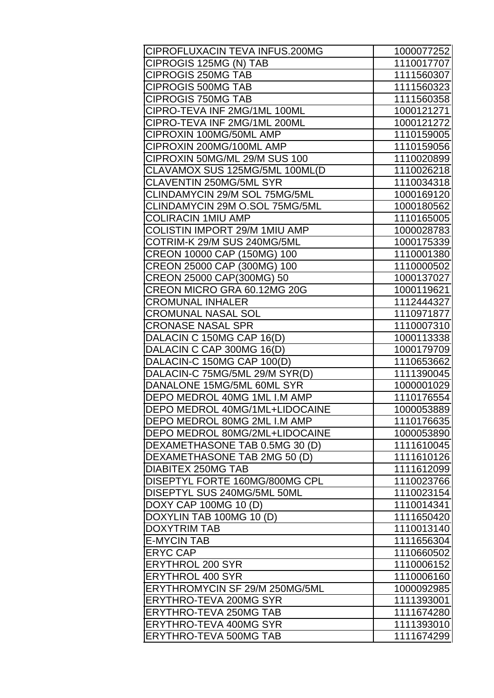| CIPROFLUXACIN TEVA INFUS.200MG | 1000077252 |
|--------------------------------|------------|
| CIPROGIS 125MG (N) TAB         | 1110017707 |
| <b>CIPROGIS 250MG TAB</b>      | 1111560307 |
| <b>CIPROGIS 500MG TAB</b>      | 1111560323 |
| <b>CIPROGIS 750MG TAB</b>      | 1111560358 |
| CIPRO-TEVA INF 2MG/1ML 100ML   | 1000121271 |
| CIPRO-TEVA INF 2MG/1ML 200ML   | 1000121272 |
| CIPROXIN 100MG/50ML AMP        | 1110159005 |
| CIPROXIN 200MG/100ML AMP       | 1110159056 |
| CIPROXIN 50MG/ML 29/M SUS 100  | 1110020899 |
| CLAVAMOX SUS 125MG/5ML 100ML(D | 1110026218 |
| CLAVENTIN 250MG/5ML SYR        | 1110034318 |
| CLINDAMYCIN 29/M SOL 75MG/5ML  | 1000169120 |
| CLINDAMYCIN 29M O.SOL 75MG/5ML | 1000180562 |
| <b>COLIRACIN 1MIU AMP</b>      | 1110165005 |
| COLISTIN IMPORT 29/M 1MIU AMP  | 1000028783 |
| COTRIM-K 29/M SUS 240MG/5ML    | 1000175339 |
| CREON 10000 CAP (150MG) 100    | 1110001380 |
| CREON 25000 CAP (300MG) 100    | 1110000502 |
| CREON 25000 CAP(300MG) 50      | 1000137027 |
| CREON MICRO GRA 60.12MG 20G    | 1000119621 |
| <b>CROMUNAL INHALER</b>        | 1112444327 |
| <b>CROMUNAL NASAL SOL</b>      | 1110971877 |
| <b>CRONASE NASAL SPR</b>       | 1110007310 |
| DALACIN C 150MG CAP 16(D)      | 1000113338 |
| DALACIN C CAP 300MG 16(D)      | 1000179709 |
| DALACIN-C 150MG CAP 100(D)     | 1110653662 |
| DALACIN-C 75MG/5ML 29/M SYR(D) | 1111390045 |
| DANALONE 15MG/5ML 60ML SYR     | 1000001029 |
| DEPO MEDROL 40MG 1ML I.M AMP   | 1110176554 |
| DEPO MEDROL 40MG/1ML+LIDOCAINE | 1000053889 |
| DEPO MEDROL 80MG 2ML I.M AMP   | 1110176635 |
| DEPO MEDROL 80MG/2ML+LIDOCAINE | 1000053890 |
| DEXAMETHASONE TAB 0.5MG 30 (D) | 1111610045 |
| DEXAMETHASONE TAB 2MG 50 (D)   | 1111610126 |
| <b>DIABITEX 250MG TAB</b>      | 1111612099 |
| DISEPTYL FORTE 160MG/800MG CPL | 1110023766 |
| DISEPTYL SUS 240MG/5ML 50ML    | 1110023154 |
| DOXY CAP 100MG 10 (D)          | 1110014341 |
| DOXYLIN TAB 100MG 10 (D)       | 1111650420 |
| <b>DOXYTRIM TAB</b>            | 1110013140 |
| <b>E-MYCIN TAB</b>             | 1111656304 |
| <b>ERYC CAP</b>                | 1110660502 |
| <b>ERYTHROL 200 SYR</b>        | 1110006152 |
| <b>ERYTHROL 400 SYR</b>        | 1110006160 |
| ERYTHROMYCIN SF 29/M 250MG/5ML | 1000092985 |
| <b>ERYTHRO-TEVA 200MG SYR</b>  | 1111393001 |
| <b>ERYTHRO-TEVA 250MG TAB</b>  | 1111674280 |
| <b>ERYTHRO-TEVA 400MG SYR</b>  | 1111393010 |
| <b>ERYTHRO-TEVA 500MG TAB</b>  | 1111674299 |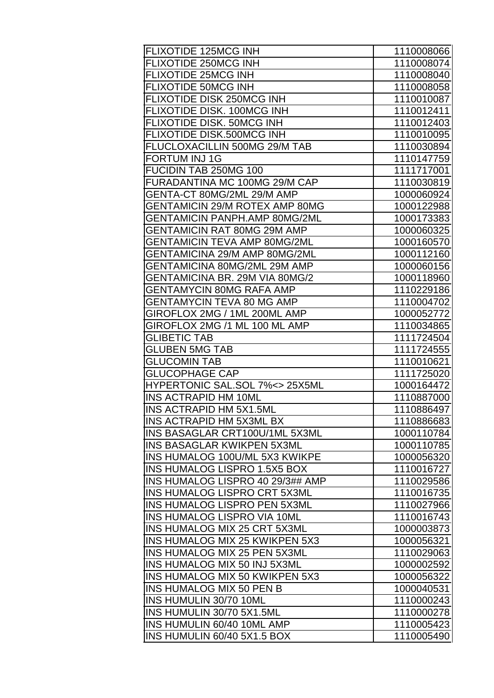| <b>FLIXOTIDE 125MCG INH</b>                                                | 1110008066               |
|----------------------------------------------------------------------------|--------------------------|
| FLIXOTIDE 250MCG INH                                                       | 1110008074               |
| <b>FLIXOTIDE 25MCG INH</b>                                                 | 1110008040               |
| <b>FLIXOTIDE 50MCG INH</b>                                                 | 1110008058               |
| FLIXOTIDE DISK 250MCG INH                                                  | 1110010087               |
| FLIXOTIDE DISK. 100MCG INH                                                 | 1110012411               |
| FLIXOTIDE DISK. 50MCG INH                                                  | 1110012403               |
| FLIXOTIDE DISK.500MCG INH                                                  | 1110010095               |
| FLUCLOXACILLIN 500MG 29/M TAB                                              | 1110030894               |
| <b>FORTUM INJ1G</b>                                                        | 1110147759               |
| FUCIDIN TAB 250MG 100                                                      | 1111717001               |
| FURADANTINA MC 100MG 29/M CAP                                              | 1110030819               |
| GENTA-CT 80MG/2ML 29/M AMP                                                 | 1000060924               |
| <b>GENTAMICIN 29/M ROTEX AMP 80MG</b>                                      | 1000122988               |
| <b>GENTAMICIN PANPH.AMP 80MG/2ML</b>                                       | 1000173383               |
| <b>GENTAMICIN RAT 80MG 29M AMP</b>                                         | 1000060325               |
| <b>GENTAMICIN TEVA AMP 80MG/2ML</b>                                        | 1000160570               |
| GENTAMICINA 29/M AMP 80MG/2ML                                              | 1000112160               |
| GENTAMICINA 80MG/2ML 29M AMP                                               | 1000060156               |
| GENTAMICINA BR. 29M VIA 80MG/2                                             | 1000118960               |
| GENTAMYCIN 80MG RAFA AMP                                                   | 1110229186               |
| <b>GENTAMYCIN TEVA 80 MG AMP</b>                                           | 1110004702               |
| GIROFLOX 2MG / 1ML 200ML AMP                                               | 1000052772               |
| GIROFLOX 2MG /1 ML 100 ML AMP                                              | 1110034865               |
| <b>GLIBETIC TAB</b>                                                        | 1111724504               |
| <b>GLUBEN 5MG TAB</b>                                                      | 1111724555               |
| <b>GLUCOMIN TAB</b>                                                        | 1110010621               |
| <b>GLUCOPHAGE CAP</b>                                                      | 1111725020               |
| HYPERTONIC SAL.SOL 7% <> 25X5ML                                            | 1000164472               |
| <b>INS ACTRAPID HM 10ML</b>                                                | 1110887000               |
| <b>INS ACTRAPID HM 5X1.5ML</b>                                             | 1110886497               |
| <b>INS ACTRAPID HM 5X3ML BX</b>                                            | 1110886683               |
| INS BASAGLAR CRT100U/1ML 5X3ML                                             | 1000110784               |
| <b>INS BASAGLAR KWIKPEN 5X3ML</b><br><b>INS HUMALOG 100U/ML 5X3 KWIKPE</b> | 1000110785               |
| <b>INS HUMALOG LISPRO 1.5X5 BOX</b>                                        | 1000056320<br>1110016727 |
| INS HUMALOG LISPRO 40 29/3## AMP                                           | 1110029586               |
| <b>INS HUMALOG LISPRO CRT 5X3ML</b>                                        | 1110016735               |
| <b>INS HUMALOG LISPRO PEN 5X3ML</b>                                        | 1110027966               |
| <b>INS HUMALOG LISPRO VIA 10ML</b>                                         | 1110016743               |
| <b>INS HUMALOG MIX 25 CRT 5X3ML</b>                                        | 1000003873               |
| <b>INS HUMALOG MIX 25 KWIKPEN 5X3</b>                                      | 1000056321               |
| INS HUMALOG MIX 25 PEN 5X3ML                                               | 1110029063               |
| <b>INS HUMALOG MIX 50 INJ 5X3ML</b>                                        | 1000002592               |
| INS HUMALOG MIX 50 KWIKPEN 5X3                                             | 1000056322               |
| <b>INS HUMALOG MIX 50 PEN B</b>                                            | 1000040531               |
| INS HUMULIN 30/70 10ML                                                     | 1110000243               |
| INS HUMULIN 30/70 5X1.5ML                                                  | 1110000278               |
| INS HUMULIN 60/40 10ML AMP                                                 | 1110005423               |
| INS HUMULIN 60/40 5X1.5 BOX                                                | 1110005490               |
|                                                                            |                          |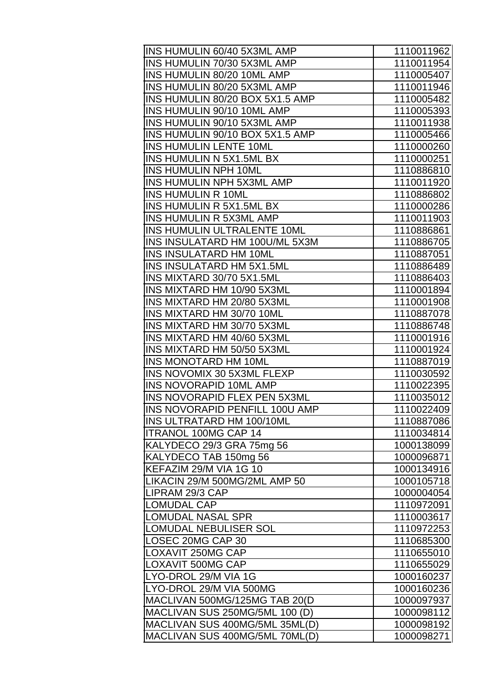| INS HUMULIN 60/40 5X3ML AMP     | 1110011962 |
|---------------------------------|------------|
| INS HUMULIN 70/30 5X3ML AMP     | 1110011954 |
| INS HUMULIN 80/20 10ML AMP      | 1110005407 |
| INS HUMULIN 80/20 5X3ML AMP     | 1110011946 |
| INS HUMULIN 80/20 BOX 5X1.5 AMP | 1110005482 |
| INS HUMULIN 90/10 10ML AMP      | 1110005393 |
| INS HUMULIN 90/10 5X3ML AMP     | 1110011938 |
| INS HUMULIN 90/10 BOX 5X1.5 AMP | 1110005466 |
| <b>INS HUMULIN LENTE 10ML</b>   | 1110000260 |
| INS HUMULIN N 5X1.5ML BX        | 1110000251 |
| <b>INS HUMULIN NPH 10ML</b>     | 1110886810 |
| INS HUMULIN NPH 5X3ML AMP       | 1110011920 |
| INS HUMULIN R 10ML              | 1110886802 |
| INS HUMULIN R 5X1.5ML BX        | 1110000286 |
| <b>INS HUMULIN R 5X3ML AMP</b>  | 1110011903 |
| INS HUMULIN ULTRALENTE 10ML     | 1110886861 |
| INS INSULATARD HM 100U/ML 5X3M  | 1110886705 |
| <b>INS INSULATARD HM 10ML</b>   | 1110887051 |
| INS INSULATARD HM 5X1.5ML       | 1110886489 |
| INS MIXTARD 30/70 5X1.5ML       | 1110886403 |
| INS MIXTARD HM 10/90 5X3ML      | 1110001894 |
| INS MIXTARD HM 20/80 5X3ML      | 1110001908 |
| INS MIXTARD HM 30/70 10ML       | 1110887078 |
| INS MIXTARD HM 30/70 5X3ML      | 1110886748 |
| INS MIXTARD HM 40/60 5X3ML      | 1110001916 |
| INS MIXTARD HM 50/50 5X3ML      | 1110001924 |
| <b>INS MONOTARD HM 10ML</b>     | 1110887019 |
| INS NOVOMIX 30 5X3ML FLEXP      | 1110030592 |
| <b>INS NOVORAPID 10ML AMP</b>   | 1110022395 |
| INS NOVORAPID FLEX PEN 5X3ML    | 1110035012 |
| INS NOVORAPID PENFILL 100U AMP  | 1110022409 |
| INS ULTRATARD HM 100/10ML       | 1110887086 |
| <b>ITRANOL 100MG CAP 14</b>     | 1110034814 |
| KALYDECO 29/3 GRA 75mg 56       | 1000138099 |
| KALYDECO TAB 150mg 56           | 1000096871 |
| KEFAZIM 29/M VIA 1G 10          | 1000134916 |
| LIKACIN 29/M 500MG/2ML AMP 50   | 1000105718 |
| LIPRAM 29/3 CAP                 | 1000004054 |
| <b>LOMUDAL CAP</b>              | 1110972091 |
| <b>LOMUDAL NASAL SPR</b>        | 1110003617 |
| LOMUDAL NEBULISER SOL           | 1110972253 |
| LOSEC 20MG CAP 30               | 1110685300 |
| LOXAVIT 250MG CAP               | 1110655010 |
| LOXAVIT 500MG CAP               | 1110655029 |
| LYO-DROL 29/M VIA 1G            | 1000160237 |
| LYO-DROL 29/M VIA 500MG         | 1000160236 |
| MACLIVAN 500MG/125MG TAB 20(D   | 1000097937 |
| MACLIVAN SUS 250MG/5ML 100 (D)  | 1000098112 |
| MACLIVAN SUS 400MG/5ML 35ML(D)  | 1000098192 |
| MACLIVAN SUS 400MG/5ML 70ML(D)  | 1000098271 |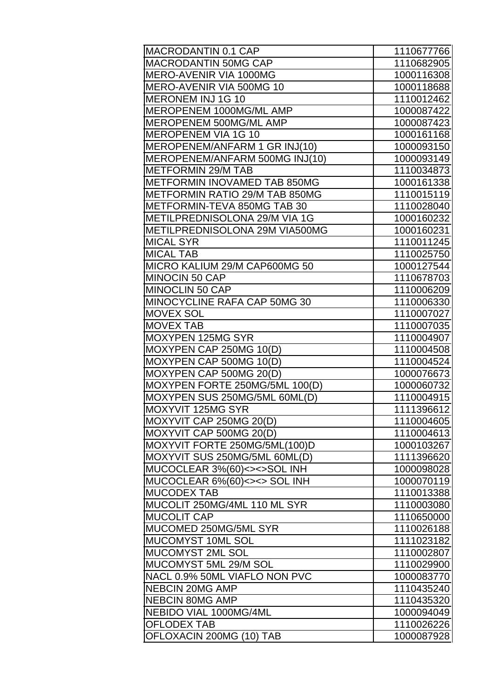| MACRODANTIN 0.1 CAP            | 1110677766 |
|--------------------------------|------------|
| <b>MACRODANTIN 50MG CAP</b>    | 1110682905 |
| MERO-AVENIR VIA 1000MG         | 1000116308 |
| MERO-AVENIR VIA 500MG 10       | 1000118688 |
| <b>MERONEM INJ 1G 10</b>       | 1110012462 |
| MEROPENEM 1000MG/ML AMP        | 1000087422 |
| MEROPENEM 500MG/ML AMP         | 1000087423 |
| <b>MEROPENEM VIA 1G 10</b>     | 1000161168 |
| MEROPENEM/ANFARM 1 GR INJ(10)  | 1000093150 |
| MEROPENEM/ANFARM 500MG INJ(10) | 1000093149 |
| <b>METFORMIN 29/M TAB</b>      | 1110034873 |
| METFORMIN INOVAMED TAB 850MG   | 1000161338 |
| METFORMIN RATIO 29/M TAB 850MG | 1110015119 |
| METFORMIN-TEVA 850MG TAB 30    | 1110028040 |
| METILPREDNISOLONA 29/M VIA 1G  | 1000160232 |
| METILPREDNISOLONA 29M VIA500MG | 1000160231 |
| <b>MICAL SYR</b>               | 1110011245 |
| <b>MICAL TAB</b>               | 1110025750 |
| MICRO KALIUM 29/M CAP600MG 50  | 1000127544 |
| MINOCIN 50 CAP                 | 1110678703 |
| MINOCLIN 50 CAP                | 1110006209 |
| MINOCYCLINE RAFA CAP 50MG 30   | 1110006330 |
| <b>MOVEX SOL</b>               | 1110007027 |
| <b>MOVEX TAB</b>               | 1110007035 |
| <b>MOXYPEN 125MG SYR</b>       | 1110004907 |
| MOXYPEN CAP 250MG 10(D)        | 1110004508 |
| MOXYPEN CAP 500MG 10(D)        | 1110004524 |
| MOXYPEN CAP 500MG 20(D)        | 1000076673 |
| MOXYPEN FORTE 250MG/5ML 100(D) | 1000060732 |
| MOXYPEN SUS 250MG/5ML 60ML(D)  | 1110004915 |
| MOXYVIT 125MG SYR              | 1111396612 |
| MOXYVIT CAP 250MG 20(D)        | 1110004605 |
| MOXYVIT CAP 500MG 20(D)        | 1110004613 |
| MOXYVIT FORTE 250MG/5ML(100)D  | 1000103267 |
| MOXYVIT SUS 250MG/5ML 60ML(D)  | 1111396620 |
| MUCOCLEAR 3%(60)<><>SOL INH    | 1000098028 |
| MUCOCLEAR 6%(60)<><> SOL INH   | 1000070119 |
| <b>MUCODEX TAB</b>             | 1110013388 |
| MUCOLIT 250MG/4ML 110 ML SYR   | 1110003080 |
| <b>MUCOLIT CAP</b>             | 1110650000 |
| MUCOMED 250MG/5ML SYR          | 1110026188 |
| MUCOMYST 10ML SOL              | 1111023182 |
| MUCOMYST 2ML SOL               | 1110002807 |
| MUCOMYST 5ML 29/M SOL          | 1110029900 |
| NACL 0.9% 50ML VIAFLO NON PVC  | 1000083770 |
| <b>NEBCIN 20MG AMP</b>         | 1110435240 |
| <b>NEBCIN 80MG AMP</b>         | 1110435320 |
| NEBIDO VIAL 1000MG/4ML         | 1000094049 |
| <b>OFLODEX TAB</b>             | 1110026226 |
| OFLOXACIN 200MG (10) TAB       | 1000087928 |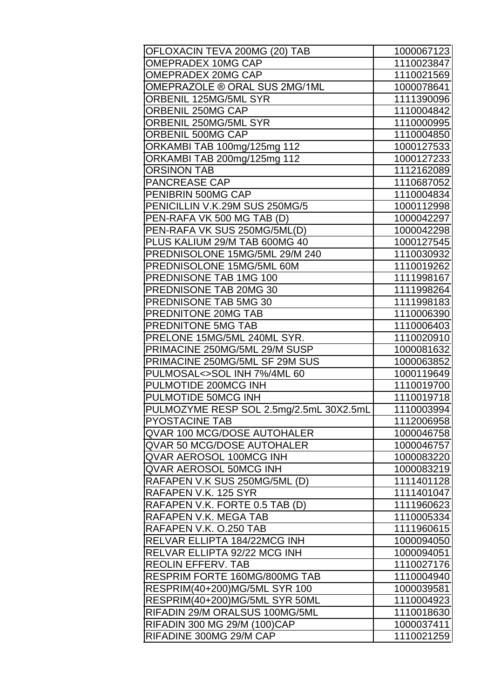| OFLOXACIN TEVA 200MG (20) TAB                                | 1000067123               |
|--------------------------------------------------------------|--------------------------|
| <b>OMEPRADEX 10MG CAP</b>                                    | 1110023847               |
| <b>OMEPRADEX 20MG CAP</b>                                    | 1110021569               |
| OMEPRAZOLE ® ORAL SUS 2MG/1ML                                | 1000078641               |
| ORBENIL 125MG/5ML SYR                                        | 1111390096               |
| ORBENIL 250MG CAP                                            | 1110004842               |
| ORBENIL 250MG/5ML SYR                                        | 1110000995               |
| ORBENIL 500MG CAP                                            | 1110004850               |
| ORKAMBI TAB 100mg/125mg 112                                  | 1000127533               |
| ORKAMBI TAB 200mg/125mg 112                                  | 1000127233               |
| <b>ORSINON TAB</b>                                           | 1112162089               |
| <b>PANCREASE CAP</b>                                         | 1110687052               |
| PENIBRIN 500MG CAP                                           | 1110004834               |
| PENICILLIN V.K.29M SUS 250MG/5                               | 1000112998               |
| PEN-RAFA VK 500 MG TAB (D)                                   | 1000042297               |
| PEN-RAFA VK SUS 250MG/5ML(D)                                 | 1000042298               |
| PLUS KALIUM 29/M TAB 600MG 40                                | 1000127545               |
| PREDNISOLONE 15MG/5ML 29/M 240                               | 1110030932               |
| PREDNISOLONE 15MG/5ML 60M                                    | 1110019262               |
| PREDNISONE TAB 1MG 100                                       | 1111998167               |
| PREDNISONE TAB 20MG 30                                       | 1111998264               |
| PREDNISONE TAB 5MG 30                                        | 1111998183               |
| PREDNITONE 20MG TAB                                          | 1110006390               |
| <b>PREDNITONE 5MG TAB</b>                                    | 1110006403               |
| PRELONE 15MG/5ML 240ML SYR.                                  | 1110020910               |
| PRIMACINE 250MG/5ML 29/M SUSP                                | 1000081632               |
| PRIMACINE 250MG/5ML SF 29M SUS                               | 1000063852               |
| PULMOSAL<>SOL INH 7%/4ML 60                                  | 1000119649               |
| PULMOTIDE 200MCG INH                                         | 1110019700               |
| PULMOTIDE 50MCG INH                                          | 1110019718               |
| PULMOZYME RESP SOL 2.5mg/2.5mL 30X2.5mL                      | 1110003994               |
| <b>PYOSTACINE TAB</b>                                        | 1112006958               |
| QVAR 100 MCG/DOSE AUTOHALER                                  | 1000046758               |
| <b>QVAR 50 MCG/DOSE AUTOHALER</b>                            | 1000046757               |
| QVAR AEROSOL 100MCG INH                                      | 1000083220               |
| <b>QVAR AEROSOL 50MCG INH</b>                                | 1000083219               |
| RAFAPEN V.K SUS 250MG/5ML (D)                                | 1111401128               |
| RAFAPEN V.K. 125 SYR                                         | 1111401047               |
| RAFAPEN V.K. FORTE 0.5 TAB (D)<br>RAFAPEN V.K. MEGA TAB      | 1111960623               |
|                                                              | 1110005334               |
| RAFAPEN V.K. O.250 TAB                                       | 1111960615               |
| RELVAR ELLIPTA 184/22MCG INH<br>RELVAR ELLIPTA 92/22 MCG INH | 1000094050<br>1000094051 |
|                                                              |                          |
| <b>REOLIN EFFERV. TAB</b><br>RESPRIM FORTE 160MG/800MG TAB   | 1110027176<br>1110004940 |
| RESPRIM(40+200)MG/5ML SYR 100                                | 1000039581               |
| RESPRIM(40+200)MG/5ML SYR 50ML                               | 1110004923               |
| RIFADIN 29/M ORALSUS 100MG/5ML                               | 1110018630               |
| <b>RIFADIN 300 MG 29/M (100)CAP</b>                          | 1000037411               |
| RIFADINE 300MG 29/M CAP                                      | 1110021259               |
|                                                              |                          |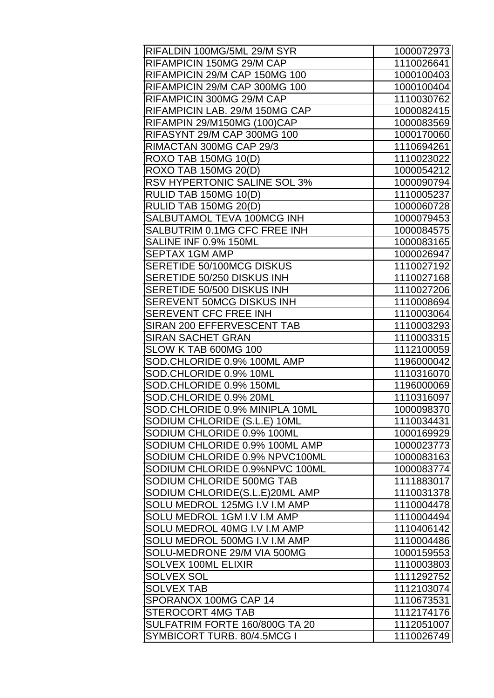| RIFALDIN 100MG/5ML 29/M SYR    | 1000072973 |
|--------------------------------|------------|
| RIFAMPICIN 150MG 29/M CAP      | 1110026641 |
| RIFAMPICIN 29/M CAP 150MG 100  | 1000100403 |
| RIFAMPICIN 29/M CAP 300MG 100  | 1000100404 |
| RIFAMPICIN 300MG 29/M CAP      | 1110030762 |
| RIFAMPICIN LAB. 29/M 150MG CAP | 1000082415 |
| RIFAMPIN 29/M150MG (100)CAP    | 1000083569 |
| RIFASYNT 29/M CAP 300MG 100    | 1000170060 |
| RIMACTAN 300MG CAP 29/3        | 1110694261 |
| ROXO TAB 150MG 10(D)           | 1110023022 |
| <b>ROXO TAB 150MG 20(D)</b>    | 1000054212 |
| RSV HYPERTONIC SALINE SOL 3%   | 1000090794 |
| RULID TAB 150MG 10(D)          | 1110005237 |
| RULID TAB 150MG 20(D)          | 1000060728 |
| SALBUTAMOL TEVA 100MCG INH     | 1000079453 |
| SALBUTRIM 0.1MG CFC FREE INH   | 1000084575 |
| SALINE INF 0.9% 150ML          | 1000083165 |
| <b>SEPTAX 1GM AMP</b>          | 1000026947 |
| SERETIDE 50/100MCG DISKUS      | 1110027192 |
| SERETIDE 50/250 DISKUS INH     | 1110027168 |
| SERETIDE 50/500 DISKUS INH     | 1110027206 |
| SEREVENT 50MCG DISKUS INH      | 1110008694 |
| SEREVENT CFC FREE INH          | 1110003064 |
| SIRAN 200 EFFERVESCENT TAB     | 1110003293 |
| <b>SIRAN SACHET GRAN</b>       | 1110003315 |
| SLOW K TAB 600MG 100           | 1112100059 |
| SOD.CHLORIDE 0.9% 100ML AMP    | 1196000042 |
| SOD.CHLORIDE 0.9% 10ML         | 1110316070 |
| SOD.CHLORIDE 0.9% 150ML        | 1196000069 |
| SOD.CHLORIDE 0.9% 20ML         | 1110316097 |
| SOD.CHLORIDE 0.9% MINIPLA 10ML | 1000098370 |
| SODIUM CHLORIDE (S.L.E) 10ML   | 1110034431 |
| SODIUM CHLORIDE 0.9% 100ML     | 1000169929 |
| SODIUM CHLORIDE 0.9% 100ML AMP | 1000023773 |
| SODIUM CHLORIDE 0.9% NPVC100ML | 1000083163 |
| SODIUM CHLORIDE 0.9%NPVC 100ML | 1000083774 |
| SODIUM CHLORIDE 500MG TAB      | 1111883017 |
| SODIUM CHLORIDE(S.L.E)20ML AMP | 1110031378 |
| SOLU MEDROL 125MG I.V I.M AMP  | 1110004478 |
| SOLU MEDROL 1GM I.V I.M AMP    | 1110004494 |
| SOLU MEDROL 40MG I.V I.M AMP   | 1110406142 |
| SOLU MEDROL 500MG I.V I.M AMP  | 1110004486 |
| SOLU-MEDRONE 29/M VIA 500MG    | 1000159553 |
| <b>SOLVEX 100ML ELIXIR</b>     | 1110003803 |
| <b>SOLVEX SOL</b>              | 1111292752 |
| <b>SOLVEX TAB</b>              | 1112103074 |
| SPORANOX 100MG CAP 14          | 1110673531 |
| STEROCORT 4MG TAB              | 1112174176 |
| SULFATRIM FORTE 160/800G TA 20 | 1112051007 |
| SYMBICORT TURB. 80/4.5MCG I    | 1110026749 |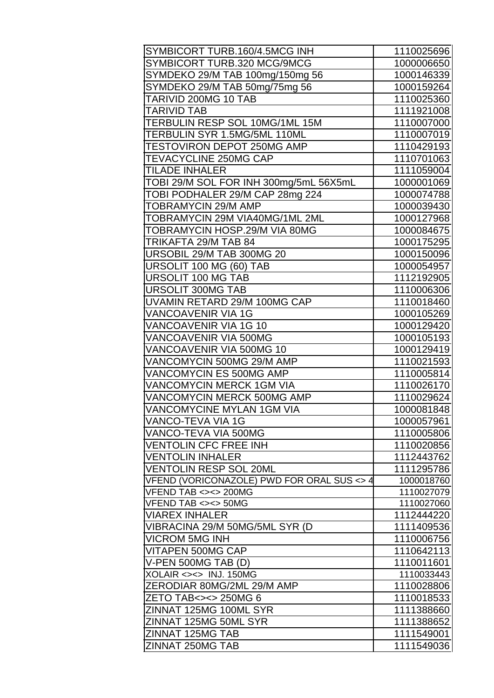| SYMBICORT TURB.160/4.5MCG INH              | 1110025696 |
|--------------------------------------------|------------|
| SYMBICORT TURB.320 MCG/9MCG                | 1000006650 |
| SYMDEKO 29/M TAB 100mg/150mg 56            | 1000146339 |
| SYMDEKO 29/M TAB 50mg/75mg 56              | 1000159264 |
| TARIVID 200MG 10 TAB                       | 1110025360 |
| <b>TARIVID TAB</b>                         | 1111921008 |
| TERBULIN RESP SOL 10MG/1ML 15M             | 1110007000 |
| TERBULIN SYR 1.5MG/5ML 110ML               | 1110007019 |
| <b>TESTOVIRON DEPOT 250MG AMP</b>          | 1110429193 |
| TEVACYCLINE 250MG CAP                      | 1110701063 |
| <b>TILADE INHALER</b>                      | 1111059004 |
| TOBI 29/M SOL FOR INH 300mg/5mL 56X5mL     | 1000001069 |
| TOBI PODHALER 29/M CAP 28mg 224            | 1000074788 |
| TOBRAMYCIN 29/M AMP                        | 1000039430 |
| TOBRAMYCIN 29M VIA40MG/1ML 2ML             | 1000127968 |
| TOBRAMYCIN HOSP.29/M VIA 80MG              | 1000084675 |
| TRIKAFTA 29/M TAB 84                       | 1000175295 |
| URSOBIL 29/M TAB 300MG 20                  | 1000150096 |
| URSOLIT 100 MG (60) TAB                    | 1000054957 |
| URSOLIT 100 MG TAB                         | 1112192905 |
| <b>URSOLIT 300MG TAB</b>                   | 1110006306 |
| UVAMIN RETARD 29/M 100MG CAP               | 1110018460 |
| <b>VANCOAVENIR VIA 1G</b>                  | 1000105269 |
| VANCOAVENIR VIA 1G 10                      | 1000129420 |
| VANCOAVENIR VIA 500MG                      | 1000105193 |
| VANCOAVENIR VIA 500MG 10                   | 1000129419 |
| VANCOMYCIN 500MG 29/M AMP                  | 1110021593 |
| VANCOMYCIN ES 500MG AMP                    | 1110005814 |
| VANCOMYCIN MERCK 1GM VIA                   | 1110026170 |
| VANCOMYCIN MERCK 500MG AMP                 | 1110029624 |
| VANCOMYCINE MYLAN 1GM VIA                  | 1000081848 |
| VANCO-TEVA VIA 1G                          | 1000057961 |
| VANCO-TEVA VIA 500MG                       | 1110005806 |
| <b>VENTOLIN CFC FREE INH</b>               | 1110020856 |
| <b>VENTOLIN INHALER</b>                    | 1112443762 |
| <b>VENTOLIN RESP SOL 20ML</b>              | 1111295786 |
| VFEND (VORICONAZOLE) PWD FOR ORAL SUS <> 4 | 1000018760 |
| <b>VFEND TAB &lt;&gt;&lt;&gt; 200MG</b>    | 1110027079 |
| VFEND TAB <><> 50MG                        | 1110027060 |
| <b>VIAREX INHALER</b>                      | 1112444220 |
| VIBRACINA 29/M 50MG/5ML SYR (D             | 1111409536 |
| VICROM 5MG INH                             | 1110006756 |
| VITAPEN 500MG CAP                          | 1110642113 |
| V-PEN 500MG TAB (D)                        | 1110011601 |
| XOLAIR <><> INJ. 150MG                     | 1110033443 |
| ZERODIAR 80MG/2ML 29/M AMP                 | 1110028806 |
| ZETO TAB<><> 250MG 6                       | 1110018533 |
| ZINNAT 125MG 100ML SYR                     | 1111388660 |
| ZINNAT 125MG 50ML SYR                      | 1111388652 |
| ZINNAT 125MG TAB                           | 1111549001 |
| ZINNAT 250MG TAB                           | 1111549036 |